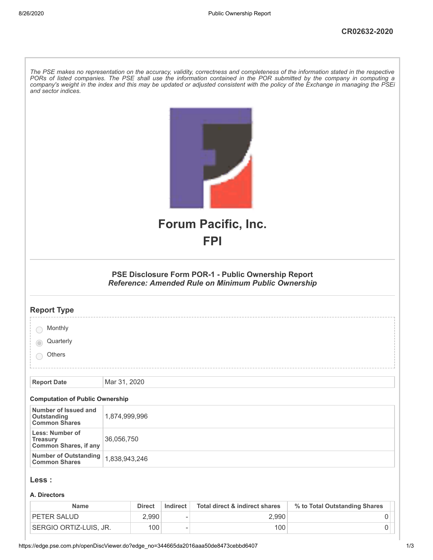| and sector indices.                                                | The PSE makes no representation on the accuracy, validity, correctness and completeness of the information stated in the respective<br>PORs of listed companies. The PSE shall use the information contained in the POR submitted by the company in computing a<br>company's weight in the index and this may be updated or adjusted consistent with the policy of the Exchange in managing the PSEi |
|--------------------------------------------------------------------|------------------------------------------------------------------------------------------------------------------------------------------------------------------------------------------------------------------------------------------------------------------------------------------------------------------------------------------------------------------------------------------------------|
|                                                                    | <b>Forum Pacific, Inc.</b>                                                                                                                                                                                                                                                                                                                                                                           |
|                                                                    | <b>FPI</b>                                                                                                                                                                                                                                                                                                                                                                                           |
|                                                                    |                                                                                                                                                                                                                                                                                                                                                                                                      |
|                                                                    | PSE Disclosure Form POR-1 - Public Ownership Report<br><b>Reference: Amended Rule on Minimum Public Ownership</b>                                                                                                                                                                                                                                                                                    |
| <b>Report Type</b>                                                 |                                                                                                                                                                                                                                                                                                                                                                                                      |
| Monthly                                                            |                                                                                                                                                                                                                                                                                                                                                                                                      |
| Quarterly                                                          |                                                                                                                                                                                                                                                                                                                                                                                                      |
| Others                                                             |                                                                                                                                                                                                                                                                                                                                                                                                      |
|                                                                    | Mar 31, 2020                                                                                                                                                                                                                                                                                                                                                                                         |
| <b>Report Date</b>                                                 |                                                                                                                                                                                                                                                                                                                                                                                                      |
| <b>Computation of Public Ownership</b>                             |                                                                                                                                                                                                                                                                                                                                                                                                      |
| Number of Issued and<br><b>Outstanding</b><br><b>Common Shares</b> | 1,874,999,996                                                                                                                                                                                                                                                                                                                                                                                        |
| Less: Number of<br><b>Treasury</b><br><b>Common Shares, if any</b> | 36,056,750                                                                                                                                                                                                                                                                                                                                                                                           |
| <b>Number of Outstanding</b><br><b>Common Shares</b>               | 1,838,943,246                                                                                                                                                                                                                                                                                                                                                                                        |
| Less :                                                             |                                                                                                                                                                                                                                                                                                                                                                                                      |
| A. Directors                                                       |                                                                                                                                                                                                                                                                                                                                                                                                      |

| <b>Name</b>            | <b>Direct</b> | Indirect                 | Total direct & indirect shares | % to Total Outstanding Shares |  |
|------------------------|---------------|--------------------------|--------------------------------|-------------------------------|--|
| <b>PETER SALUD</b>     | $2.990^+$     | $\overline{\phantom{a}}$ | 2.990                          |                               |  |
| SERGIO ORTIZ-LUIS. JR. | 100           | $\overline{\phantom{a}}$ | 100                            |                               |  |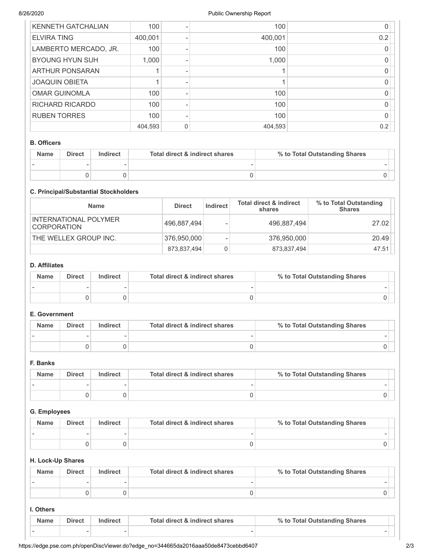| <b>KENNETH GATCHALIAN</b> | 100     |   | 100     |     |
|---------------------------|---------|---|---------|-----|
| <b>ELVIRA TING</b>        | 400,001 |   | 400,001 | 0.2 |
| LAMBERTO MERCADO, JR.     | 100     |   | 100     |     |
| <b>BYOUNG HYUN SUH</b>    | 1,000   |   | 1,000   |     |
| ARTHUR PONSARAN           |         |   |         |     |
| <b>JOAQUIN OBIETA</b>     |         |   |         |     |
| <b>OMAR GUINOMLA</b>      | 100     |   | 100     |     |
| <b>RICHARD RICARDO</b>    | 100     |   | 100     |     |
| <b>RUBEN TORRES</b>       | 100     |   | 100     |     |
|                           | 404,593 | 0 | 404,593 | 0.2 |

## B. Officers

| <b>Name</b> | <b>Direct</b> | Total direct & indirect shares<br>Indirect |  | % to Total Outstanding Shares |
|-------------|---------------|--------------------------------------------|--|-------------------------------|
|             |               |                                            |  |                               |
|             |               |                                            |  |                               |

# C. Principal/Substantial Stockholders

| <b>Name</b>                                 | <b>Direct</b> | Indirect | <b>Total direct &amp; indirect</b><br>shares | % to Total Outstanding<br><b>Shares</b> |
|---------------------------------------------|---------------|----------|----------------------------------------------|-----------------------------------------|
| INTERNATIONAL POLYMER<br><b>CORPORATION</b> | 496,887,494   |          | 496,887,494                                  | 27.02                                   |
| THE WELLEX GROUP INC.                       | 376,950,000   |          | 376,950,000                                  | 20.49                                   |
|                                             | 873,837,494   | 0        | 873,837,494                                  | 47.51                                   |

## D. Affiliates

| <b>Name</b> | <b>Direct</b> | Indirect | <b>Total direct &amp; indirect shares</b> | % to Total Outstanding Shares |
|-------------|---------------|----------|-------------------------------------------|-------------------------------|
|             |               |          |                                           |                               |
|             |               |          |                                           |                               |

# E. Government

| <b>Name</b> | <b>Direct</b> | Indirect | Total direct & indirect shares | % to Total Outstanding Shares |
|-------------|---------------|----------|--------------------------------|-------------------------------|
|             |               |          |                                |                               |
|             |               |          |                                |                               |

# F. Banks

| <b>Name</b> | <b>Direct</b> | Total direct & indirect shares<br>Indirect |  | % to Total Outstanding Shares |
|-------------|---------------|--------------------------------------------|--|-------------------------------|
|             |               |                                            |  |                               |
|             |               |                                            |  |                               |

#### G. Employees

| <b>Name</b> | <b>Direct</b> | Indirect | Total direct & indirect shares | % to Total Outstanding Shares |
|-------------|---------------|----------|--------------------------------|-------------------------------|
|             |               |          |                                |                               |
|             |               |          |                                |                               |

# H. Lock-Up Shares

| <b>Name</b> | <b>Direct</b> | Indirect | Total direct & indirect shares | % to Total Outstanding Shares |  |
|-------------|---------------|----------|--------------------------------|-------------------------------|--|
|             |               |          |                                |                               |  |
|             |               |          |                                |                               |  |

## I. Others

| Name | <b>Direct</b>            | <b>ndirect</b> | Total direct & indirect shares | % to Total Outstanding Shares |  |
|------|--------------------------|----------------|--------------------------------|-------------------------------|--|
|      | $\overline{\phantom{a}}$ |                |                                | -                             |  |